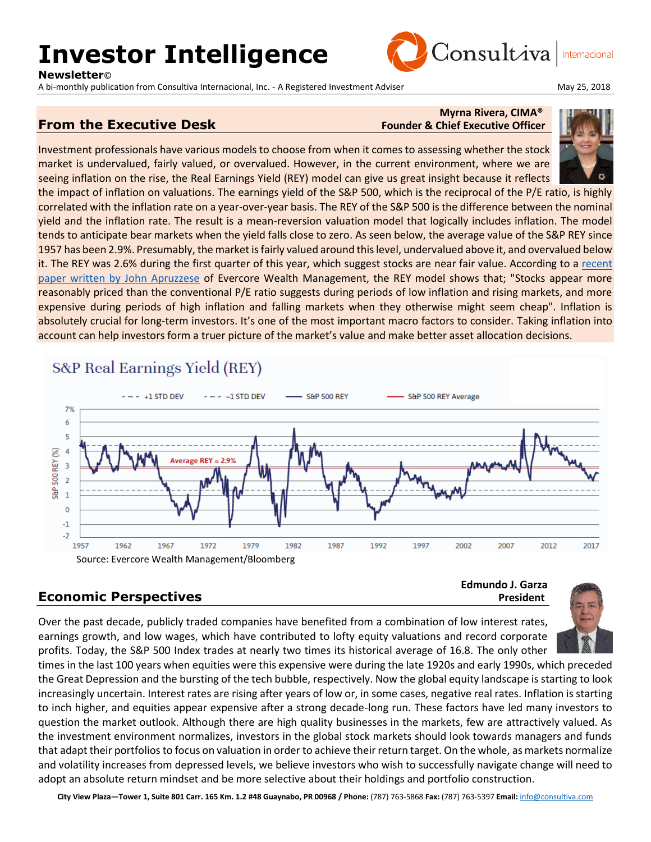# **Investor Intelligence**

**Newsletter**©

A bi-monthly publication from Consultiva Internacional, Inc. - A Registered Investment Adviser May 25, 2018 May 25, 2018



Internacional

#### **From the Executive Desk** Founder & Chief Executive Officer

## **Myrna Rivera, CIMA®**

Consultiva

Investment professionals have various models to choose from when it comes to assessing whether the stock market is undervalued, fairly valued, or overvalued. However, in the current environment, where we are seeing inflation on the rise, the Real Earnings Yield (REY) model can give us great insight because it reflects

the impact of inflation on valuations. The earnings yield of the S&P 500, which is the reciprocal of the P/E ratio, is highly correlated with the inflation rate on a year-over-year basis. The REY of the S&P 500 is the difference between the nominal yield and the inflation rate. The result is a mean-reversion valuation model that logically includes inflation. The model tends to anticipate bear markets when the yield falls close to zero. As seen below, the average value of the S&P REY since 1957 has been 2.9%. Presumably, the market is fairly valued around this level, undervalued above it, and overvalued below it. The REY was 2.6% during the first quarter of this year, which suggest stocks are near fair value. According to a [recent](https://s3.amazonaws.com/evercore-clouddeploy/ewm-prod/wp-content/uploads/2017/11/13165531/Evercore-White-Paper_Inflation-Rates-and-Stock-Market-Valuations-by-John-Apruzzese.pdf)  [paper written by John Apruzzese](https://s3.amazonaws.com/evercore-clouddeploy/ewm-prod/wp-content/uploads/2017/11/13165531/Evercore-White-Paper_Inflation-Rates-and-Stock-Market-Valuations-by-John-Apruzzese.pdf) of Evercore Wealth Management, the REY model shows that; "Stocks appear more reasonably priced than the conventional P/E ratio suggests during periods of low inflation and rising markets, and more expensive during periods of high inflation and falling markets when they otherwise might seem cheap". Inflation is absolutely crucial for long-term investors. It's one of the most important macro factors to consider. Taking inflation into account can help investors form a truer picture of the market's value and make better asset allocation decisions.

### S&P Real Earnings Yield (REY)



### **Economic Perspectives** *President*

**Edmundo J. Garza**



times in the last 100 years when equities were this expensive were during the late 1920s and early 1990s, which preceded the Great Depression and the bursting of the tech bubble, respectively. Now the global equity landscape is starting to look increasingly uncertain. Interest rates are rising after years of low or, in some cases, negative real rates. Inflation is starting to inch higher, and equities appear expensive after a strong decade-long run. These factors have led many investors to question the market outlook. Although there are high quality businesses in the markets, few are attractively valued. As the investment environment normalizes, investors in the global stock markets should look towards managers and funds that adapt their portfolios to focus on valuation in order to achieve their return target. On the whole, as markets normalize and volatility increases from depressed levels, we believe investors who wish to successfully navigate change will need to adopt an absolute return mindset and be more selective about their holdings and portfolio construction.

**City View Plaza—Tower 1, Suite 801 Carr. 165 Km. 1.2 #48 Guaynabo, PR 00968 / Phone:** (787) 763-5868 **Fax:** (787) 763-5397 **Email:** [info@consultiva.com](mailto:%20info@consultiva.com)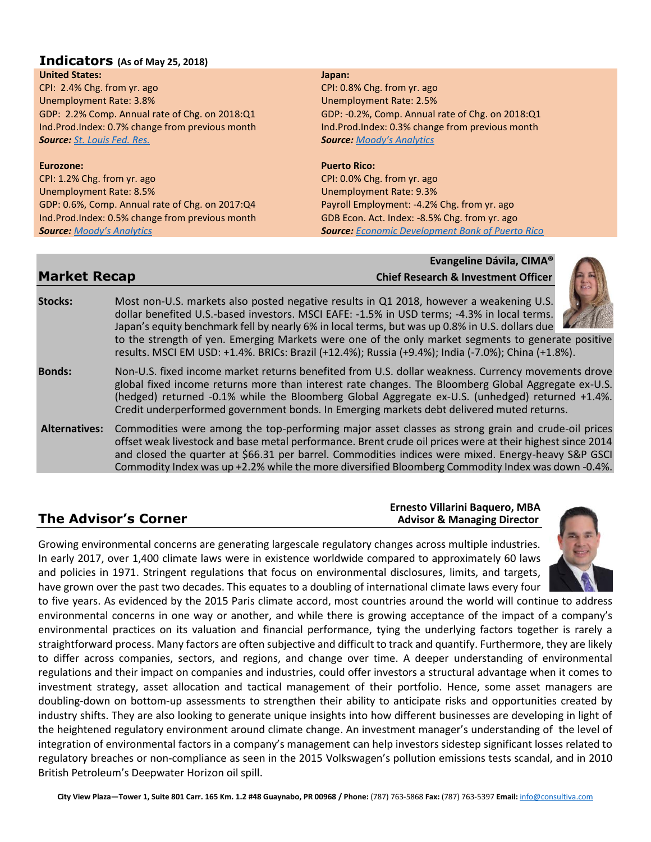#### **Indicators (As of May 25, 2018)**

#### **United States:**

CPI: 2.4% Chg. from yr. ago Unemployment Rate: 3.8% GDP: 2.2% Comp. Annual rate of Chg. on 2018:Q1 Ind.Prod.Index: 0.7% change from previous month *Source: [St. Louis Fed. Res.](http://research.stlouisfed.org/)*

#### **Eurozone:**

CPI: 1.2% Chg. from yr. ago Unemployment Rate: 8.5% GDP: 0.6%, Comp. Annual rate of Chg. on 2017:Q4 Ind.Prod.Index: 0.5% change from previous month *Source: [Moody's Analytics](https://www.economy.com/dismal/)*

#### **Japan:**

CPI: 0.8% Chg. from yr. ago Unemployment Rate: 2.5% GDP: -0.2%, Comp. Annual rate of Chg. on 2018:Q1 Ind.Prod.Index: 0.3% change from previous month *Source: [Moody's Analytics](https://www.economy.com/dismal/)*

#### **Puerto Rico:**

CPI: 0.0% Chg. from yr. ago Unemployment Rate: 9.3% Payroll Employment: -4.2% Chg. from yr. ago GDB Econ. Act. Index: -8.5% Chg. from yr. ago *Source: [Economic Development Bank of Puerto Rico](https://www.bde.pr.gov/BDESite/index.html)*

#### **Evangeline Dávila, CIMA® Market Recap Chief Research & Investment Officer**

**Stocks:** Most non-U.S. markets also posted negative results in Q1 2018, however a weakening U.S. dollar benefited U.S.-based investors. MSCI EAFE: -1.5% in USD terms; -4.3% in local terms. Japan's equity benchmark fell by nearly 6% in local terms, but was up 0.8% in U.S. dollars due to the strength of yen. Emerging Markets were one of the only market segments to generate positive results. MSCI EM USD: +1.4%. BRICs: Brazil (+12.4%); Russia (+9.4%); India (-7.0%); China (+1.8%). **Bonds:** Non-U.S. fixed income market returns benefited from U.S. dollar weakness. Currency movements drove global fixed income returns more than interest rate changes. The Bloomberg Global Aggregate ex-U.S. (hedged) returned -0.1% while the Bloomberg Global Aggregate ex-U.S. (unhedged) returned +1.4%. Credit underperformed government bonds. In Emerging markets debt delivered muted returns. **Alternatives:** Commodities were among the top-performing major asset classes as strong grain and crude-oil prices offset weak livestock and base metal performance. Brent crude oil prices were at their highest since 2014 and closed the quarter at \$66.31 per barrel. Commodities indices were mixed. Energy-heavy S&P GSCI Commodity Index was up +2.2% while the more diversified Bloomberg Commodity Index was down -0.4%.

**Ernesto Villarini Baquero, MBA The Advisor's Corner** *Advisor's* **Corner** *Advisor & Managing Director* 

Growing environmental concerns are generating largescale regulatory changes across multiple industries. In early 2017, over 1,400 climate laws were in existence worldwide compared to approximately 60 laws and policies in 1971. Stringent regulations that focus on environmental disclosures, limits, and targets, have grown over the past two decades. This equates to a doubling of international climate laws every four

to five years. As evidenced by the 2015 Paris climate accord, most countries around the world will continue to address environmental concerns in one way or another, and while there is growing acceptance of the impact of a company's environmental practices on its valuation and financial performance, tying the underlying factors together is rarely a straightforward process. Many factors are often subjective and difficult to track and quantify. Furthermore, they are likely to differ across companies, sectors, and regions, and change over time. A deeper understanding of environmental regulations and their impact on companies and industries, could offer investors a structural advantage when it comes to investment strategy, asset allocation and tactical management of their portfolio. Hence, some asset managers are doubling-down on bottom-up assessments to strengthen their ability to anticipate risks and opportunities created by industry shifts. They are also looking to generate unique insights into how different businesses are developing in light of the heightened regulatory environment around climate change. An investment manager's understanding of the level of integration of environmental factors in a company's management can help investors sidestep significant losses related to regulatory breaches or non-compliance as seen in the 2015 Volkswagen's pollution emissions tests scandal, and in 2010 British Petroleum's Deepwater Horizon oil spill.